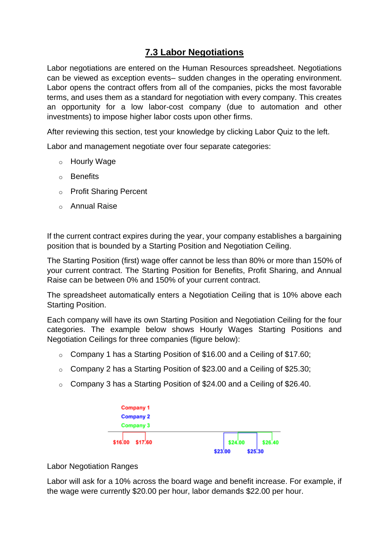## **7.3 Labor Negotiations**

Labor negotiations are entered on the Human Resources spreadsheet. Negotiations can be viewed as exception events– sudden changes in the operating environment. Labor opens the contract offers from all of the companies, picks the most favorable terms, and uses them as a standard for negotiation with every company. This creates an opportunity for a low labor-cost company (due to automation and other investments) to impose higher labor costs upon other firms.

After reviewing this section, test your knowledge by clicking Labor Quiz to the left.

Labor and management negotiate over four separate categories:

- o Hourly Wage
- o Benefits
- o Profit Sharing Percent
- o Annual Raise

If the current contract expires during the year, your company establishes a bargaining position that is bounded by a Starting Position and Negotiation Ceiling.

The Starting Position (first) wage offer cannot be less than 80% or more than 150% of your current contract. The Starting Position for Benefits, Profit Sharing, and Annual Raise can be between 0% and 150% of your current contract.

The spreadsheet automatically enters a Negotiation Ceiling that is 10% above each Starting Position.

Each company will have its own Starting Position and Negotiation Ceiling for the four categories. The example below shows Hourly Wages Starting Positions and Negotiation Ceilings for three companies (figure below):

- o Company 1 has a Starting Position of \$16.00 and a Ceiling of \$17.60;
- o Company 2 has a Starting Position of \$23.00 and a Ceiling of \$25.30;
- $\degree$  Company 3 has a Starting Position of \$24.00 and a Ceiling of \$26.40.



## Labor Negotiation Ranges

Labor will ask for a 10% across the board wage and benefit increase. For example, if the wage were currently \$20.00 per hour, labor demands \$22.00 per hour.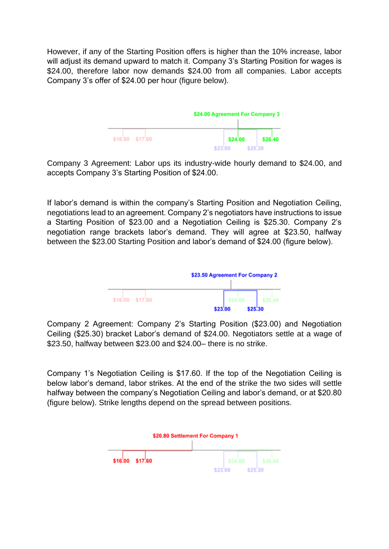However, if any of the Starting Position offers is higher than the 10% increase, labor will adjust its demand upward to match it. Company 3's Starting Position for wages is \$24.00, therefore labor now demands \$24.00 from all companies. Labor accepts Company 3's offer of \$24.00 per hour (figure below).



Company 3 Agreement: Labor ups its industry-wide hourly demand to \$24.00, and accepts Company 3's Starting Position of \$24.00.

If labor's demand is within the company's Starting Position and Negotiation Ceiling, negotiations lead to an agreement. Company 2's negotiators have instructions to issue a Starting Position of \$23.00 and a Negotiation Ceiling is \$25.30. Company 2's negotiation range brackets labor's demand. They will agree at \$23.50, halfway between the \$23.00 Starting Position and labor's demand of \$24.00 (figure below).



Company 2 Agreement: Company 2's Starting Position (\$23.00) and Negotiation Ceiling (\$25.30) bracket Labor's demand of \$24.00. Negotiators settle at a wage of \$23.50, halfway between \$23.00 and \$24.00– there is no strike.

Company 1's Negotiation Ceiling is \$17.60. If the top of the Negotiation Ceiling is below labor's demand, labor strikes. At the end of the strike the two sides will settle halfway between the company's Negotiation Ceiling and labor's demand, or at \$20.80 (figure below). Strike lengths depend on the spread between positions.

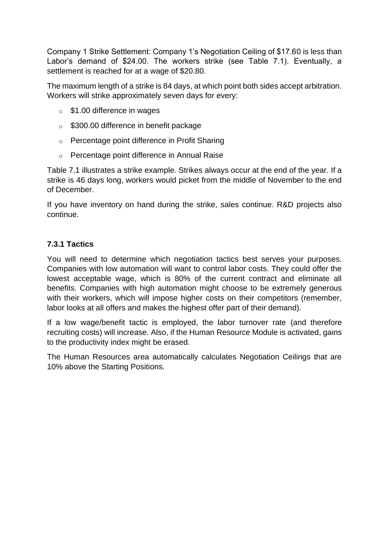Company 1 Strike Settlement: Company 1's Negotiation Ceiling of \$17.60 is less than Labor's demand of \$24.00. The workers strike (see Table 7.1). Eventually, a settlement is reached for at a wage of \$20.80.

The maximum length of a strike is 84 days, at which point both sides accept arbitration. Workers will strike approximately seven days for every:

- o \$1.00 difference in wages
- o \$300.00 difference in benefit package
- o Percentage point difference in Profit Sharing
- o Percentage point difference in Annual Raise

Table 7.1 illustrates a strike example. Strikes always occur at the end of the year. If a strike is 46 days long, workers would picket from the middle of November to the end of December.

If you have inventory on hand during the strike, sales continue. R&D projects also continue.

## **7.3.1 Tactics**

You will need to determine which negotiation tactics best serves your purposes. Companies with low automation will want to control labor costs. They could offer the lowest acceptable wage, which is 80% of the current contract and eliminate all benefits. Companies with high automation might choose to be extremely generous with their workers, which will impose higher costs on their competitors (remember, labor looks at all offers and makes the highest offer part of their demand).

If a low wage/benefit tactic is employed, the labor turnover rate (and therefore recruiting costs) will increase. Also, if the Human Resource Module is activated, gains to the productivity index might be erased.

The Human Resources area automatically calculates Negotiation Ceilings that are 10% above the Starting Positions.